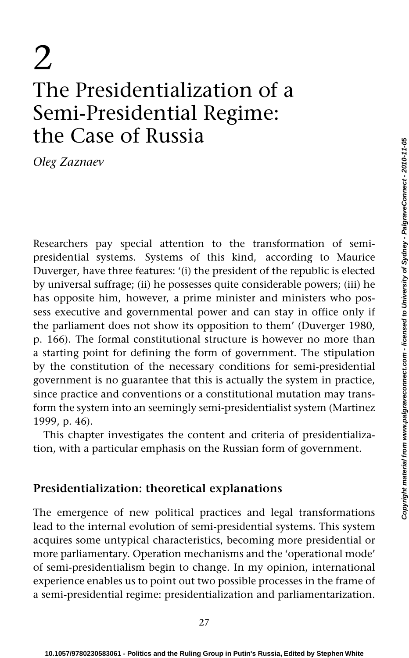# 2 The Presidentialization of a Semi-Presidential Regime: the Case of Russia

*Oleg Zaznaev*

Researchers pay special attention to the transformation of semipresidential systems. Systems of this kind, according to Maurice Duverger, have three features: '(i) the president of the republic is elected by universal suffrage; (ii) he possesses quite considerable powers; (iii) he has opposite him, however, a prime minister and ministers who possess executive and governmental power and can stay in office only if the parliament does not show its opposition to them' (Duverger 1980, p. 166). The formal constitutional structure is however no more than a starting point for defining the form of government. The stipulation by the constitution of the necessary conditions for semi-presidential government is no guarantee that this is actually the system in practice, since practice and conventions or a constitutional mutation may transform the system into an seemingly semi-presidentialist system (Martinez 1999, p. 46).

This chapter investigates the content and criteria of presidentialization, with a particular emphasis on the Russian form of government.

## **Presidentialization: theoretical explanations**

The emergence of new political practices and legal transformations lead to the internal evolution of semi-presidential systems. This system acquires some untypical characteristics, becoming more presidential or more parliamentary. Operation mechanisms and the 'operational mode' of semi-presidentialism begin to change. In my opinion, international experience enables us to point out two possible processes in the frame of a semi-presidential regime: presidentialization and parliamentarization.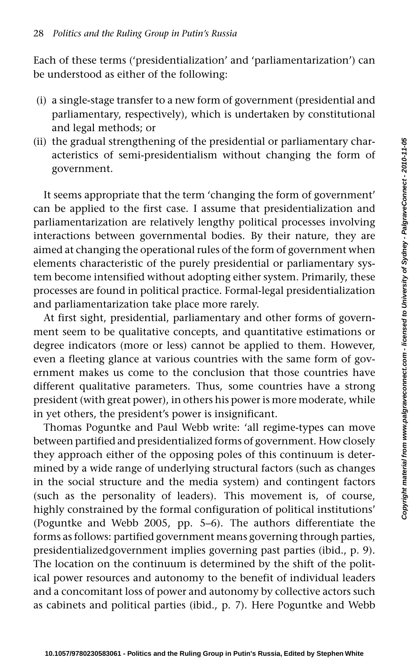Each of these terms ('presidentialization' and 'parliamentarization') can be understood as either of the following:

- (i) a single-stage transfer to a new form of government (presidential and parliamentary, respectively), which is undertaken by constitutional and legal methods; or
- (ii) the gradual strengthening of the presidential or parliamentary characteristics of semi-presidentialism without changing the form of government.

It seems appropriate that the term 'changing the form of government' can be applied to the first case. I assume that presidentialization and parliamentarization are relatively lengthy political processes involving interactions between governmental bodies. By their nature, they are aimed at changing the operational rules of the form of government when elements characteristic of the purely presidential or parliamentary system become intensified without adopting either system. Primarily, these processes are found in political practice. Formal-legal presidentialization and parliamentarization take place more rarely.

At first sight, presidential, parliamentary and other forms of government seem to be qualitative concepts, and quantitative estimations or degree indicators (more or less) cannot be applied to them. However, even a fleeting glance at various countries with the same form of government makes us come to the conclusion that those countries have different qualitative parameters. Thus, some countries have a strong president (with great power), in others his power is more moderate, while in yet others, the president's power is insignificant.

Thomas Poguntke and Paul Webb write: 'all regime-types can move between partified and presidentialized forms of government. How closely they approach either of the opposing poles of this continuum is determined by a wide range of underlying structural factors (such as changes in the social structure and the media system) and contingent factors (such as the personality of leaders). This movement is, of course, highly constrained by the formal configuration of political institutions' (Poguntke and Webb 2005, pp. 5–6). The authors differentiate the forms as follows: partified government means governing through parties, presidentializedgovernment implies governing past parties (ibid., p. 9). The location on the continuum is determined by the shift of the political power resources and autonomy to the benefit of individual leaders and a concomitant loss of power and autonomy by collective actors such as cabinets and political parties (ibid., p. 7). Here Poguntke and Webb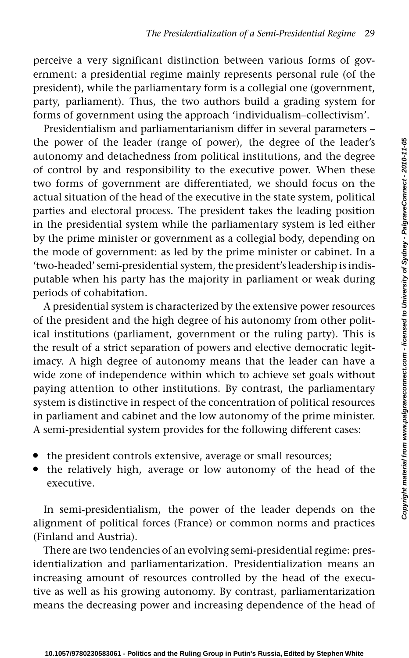perceive a very significant distinction between various forms of government: a presidential regime mainly represents personal rule (of the president), while the parliamentary form is a collegial one (government, party, parliament). Thus, the two authors build a grading system for forms of government using the approach 'individualism–collectivism'.

Presidentialism and parliamentarianism differ in several parameters – the power of the leader (range of power), the degree of the leader's autonomy and detachedness from political institutions, and the degree of control by and responsibility to the executive power. When these two forms of government are differentiated, we should focus on the actual situation of the head of the executive in the state system, political parties and electoral process. The president takes the leading position in the presidential system while the parliamentary system is led either by the prime minister or government as a collegial body, depending on the mode of government: as led by the prime minister or cabinet. In a 'two-headed' semi-presidential system, the president's leadership is indisputable when his party has the majority in parliament or weak during periods of cohabitation.

A presidential system is characterized by the extensive power resources of the president and the high degree of his autonomy from other political institutions (parliament, government or the ruling party). This is the result of a strict separation of powers and elective democratic legitimacy. A high degree of autonomy means that the leader can have a wide zone of independence within which to achieve set goals without paying attention to other institutions. By contrast, the parliamentary system is distinctive in respect of the concentration of political resources in parliament and cabinet and the low autonomy of the prime minister. A semi-presidential system provides for the following different cases:

- the president controls extensive, average or small resources;
- the relatively high, average or low autonomy of the head of the executive.

In semi-presidentialism, the power of the leader depends on the alignment of political forces (France) or common norms and practices (Finland and Austria).

There are two tendencies of an evolving semi-presidential regime: presidentialization and parliamentarization. Presidentialization means an increasing amount of resources controlled by the head of the executive as well as his growing autonomy. By contrast, parliamentarization means the decreasing power and increasing dependence of the head of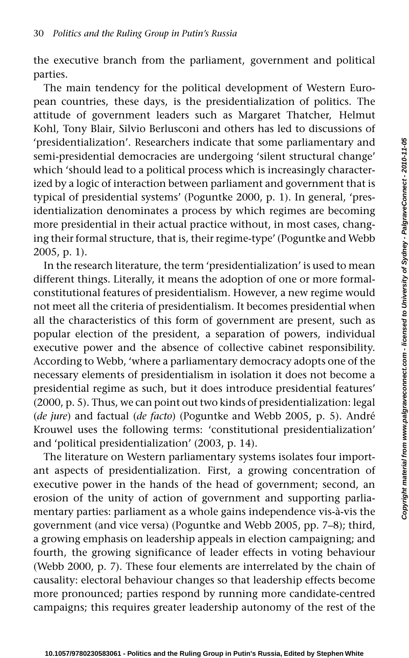the executive branch from the parliament, government and political parties.

The main tendency for the political development of Western European countries, these days, is the presidentialization of politics. The attitude of government leaders such as Margaret Thatcher, Helmut Kohl, Tony Blair, Silvio Berlusconi and others has led to discussions of 'presidentialization'. Researchers indicate that some parliamentary and semi-presidential democracies are undergoing 'silent structural change' which 'should lead to a political process which is increasingly characterized by a logic of interaction between parliament and government that is typical of presidential systems' (Poguntke 2000, p. 1). In general, 'presidentialization denominates a process by which regimes are becoming more presidential in their actual practice without, in most cases, changing their formal structure, that is, their regime-type' (Poguntke and Webb 2005, p. 1).

In the research literature, the term 'presidentialization' is used to mean different things. Literally, it means the adoption of one or more formalconstitutional features of presidentialism. However, a new regime would not meet all the criteria of presidentialism. It becomes presidential when all the characteristics of this form of government are present, such as popular election of the president, a separation of powers, individual executive power and the absence of collective cabinet responsibility. According to Webb, 'where a parliamentary democracy adopts one of the necessary elements of presidentialism in isolation it does not become a presidential regime as such, but it does introduce presidential features' (2000, p. 5). Thus, we can point out two kinds of presidentialization: legal (*de jure*) and factual (*de facto*) (Poguntke and Webb 2005, p. 5). André Krouwel uses the following terms: 'constitutional presidentialization' and 'political presidentialization' (2003, p. 14).

The literature on Western parliamentary systems isolates four important aspects of presidentialization. First, a growing concentration of executive power in the hands of the head of government; second, an erosion of the unity of action of government and supporting parliamentary parties: parliament as a whole gains independence vis-à-vis the government (and vice versa) (Poguntke and Webb 2005, pp. 7–8); third, a growing emphasis on leadership appeals in election campaigning; and fourth, the growing significance of leader effects in voting behaviour (Webb 2000, p. 7). These four elements are interrelated by the chain of causality: electoral behaviour changes so that leadership effects become more pronounced; parties respond by running more candidate-centred campaigns; this requires greater leadership autonomy of the rest of the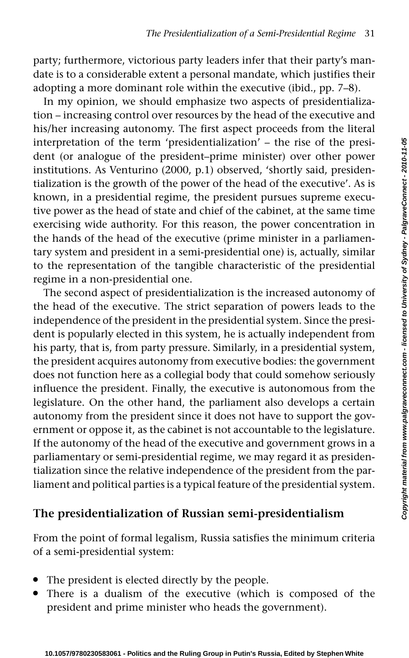party; furthermore, victorious party leaders infer that their party's mandate is to a considerable extent a personal mandate, which justifies their adopting a more dominant role within the executive (ibid., pp. 7–8).

In my opinion, we should emphasize two aspects of presidentialization – increasing control over resources by the head of the executive and his/her increasing autonomy. The first aspect proceeds from the literal interpretation of the term 'presidentialization' – the rise of the president (or analogue of the president–prime minister) over other power institutions. As Venturino (2000, p.1) observed, 'shortly said, presidentialization is the growth of the power of the head of the executive'. As is known, in a presidential regime, the president pursues supreme executive power as the head of state and chief of the cabinet, at the same time exercising wide authority. For this reason, the power concentration in the hands of the head of the executive (prime minister in a parliamentary system and president in a semi-presidential one) is, actually, similar to the representation of the tangible characteristic of the presidential regime in a non-presidential one.

The second aspect of presidentialization is the increased autonomy of the head of the executive. The strict separation of powers leads to the independence of the president in the presidential system. Since the president is popularly elected in this system, he is actually independent from his party, that is, from party pressure. Similarly, in a presidential system, the president acquires autonomy from executive bodies: the government does not function here as a collegial body that could somehow seriously influence the president. Finally, the executive is autonomous from the legislature. On the other hand, the parliament also develops a certain autonomy from the president since it does not have to support the government or oppose it, as the cabinet is not accountable to the legislature. If the autonomy of the head of the executive and government grows in a parliamentary or semi-presidential regime, we may regard it as presidentialization since the relative independence of the president from the parliament and political parties is a typical feature of the presidential system.

### **The presidentialization of Russian semi-presidentialism**

From the point of formal legalism, Russia satisfies the minimum criteria of a semi-presidential system:

- The president is elected directly by the people.
- There is a dualism of the executive (which is composed of the president and prime minister who heads the government).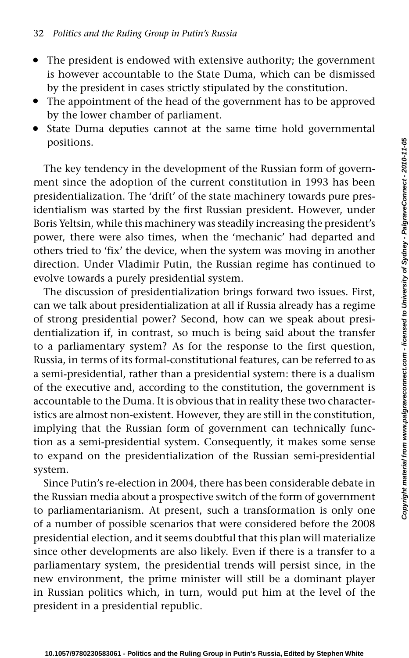- The president is endowed with extensive authority; the government is however accountable to the State Duma, which can be dismissed by the president in cases strictly stipulated by the constitution.
- The appointment of the head of the government has to be approved by the lower chamber of parliament.
- State Duma deputies cannot at the same time hold governmental positions.

The key tendency in the development of the Russian form of government since the adoption of the current constitution in 1993 has been presidentialization. The 'drift' of the state machinery towards pure presidentialism was started by the first Russian president. However, under Boris Yeltsin, while this machinery was steadily increasing the president's power, there were also times, when the 'mechanic' had departed and others tried to 'fix' the device, when the system was moving in another direction. Under Vladimir Putin, the Russian regime has continued to evolve towards a purely presidential system.

The discussion of presidentialization brings forward two issues. First, can we talk about presidentialization at all if Russia already has a regime of strong presidential power? Second, how can we speak about presidentialization if, in contrast, so much is being said about the transfer to a parliamentary system? As for the response to the first question, Russia, in terms of its formal-constitutional features, can be referred to as a semi-presidential, rather than a presidential system: there is a dualism of the executive and, according to the constitution, the government is accountable to the Duma. It is obvious that in reality these two characteristics are almost non-existent. However, they are still in the constitution, implying that the Russian form of government can technically function as a semi-presidential system. Consequently, it makes some sense to expand on the presidentialization of the Russian semi-presidential system.

Since Putin's re-election in 2004, there has been considerable debate in the Russian media about a prospective switch of the form of government to parliamentarianism. At present, such a transformation is only one of a number of possible scenarios that were considered before the 2008 presidential election, and it seems doubtful that this plan will materialize since other developments are also likely. Even if there is a transfer to a parliamentary system, the presidential trends will persist since, in the new environment, the prime minister will still be a dominant player in Russian politics which, in turn, would put him at the level of the president in a presidential republic.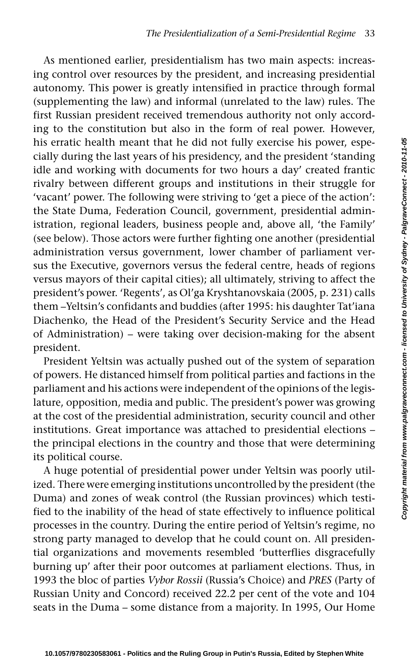As mentioned earlier, presidentialism has two main aspects: increasing control over resources by the president, and increasing presidential autonomy. This power is greatly intensified in practice through formal (supplementing the law) and informal (unrelated to the law) rules. The first Russian president received tremendous authority not only according to the constitution but also in the form of real power. However, his erratic health meant that he did not fully exercise his power, especially during the last years of his presidency, and the president 'standing idle and working with documents for two hours a day' created frantic rivalry between different groups and institutions in their struggle for 'vacant' power. The following were striving to 'get a piece of the action': the State Duma, Federation Council, government, presidential administration, regional leaders, business people and, above all, 'the Family' (see below). Those actors were further fighting one another (presidential administration versus government, lower chamber of parliament versus the Executive, governors versus the federal centre, heads of regions versus mayors of their capital cities); all ultimately, striving to affect the president's power. 'Regents', as Ol'ga Kryshtanovskaia (2005, p. 231) calls them –Yeltsin's confidants and buddies (after 1995: his daughter Tat'iana Diachenko, the Head of the President's Security Service and the Head of Administration) – were taking over decision-making for the absent president.

President Yeltsin was actually pushed out of the system of separation of powers. He distanced himself from political parties and factions in the parliament and his actions were independent of the opinions of the legislature, opposition, media and public. The president's power was growing at the cost of the presidential administration, security council and other institutions. Great importance was attached to presidential elections – the principal elections in the country and those that were determining its political course.

A huge potential of presidential power under Yeltsin was poorly utilized. There were emerging institutions uncontrolled by the president (the Duma) and zones of weak control (the Russian provinces) which testified to the inability of the head of state effectively to influence political processes in the country. During the entire period of Yeltsin's regime, no strong party managed to develop that he could count on. All presidential organizations and movements resembled 'butterflies disgracefully burning up' after their poor outcomes at parliament elections. Thus, in 1993 the bloc of parties *Vybor Rossii* (Russia's Choice) and *PRES* (Party of Russian Unity and Concord) received 22.2 per cent of the vote and 104 seats in the Duma – some distance from a majority. In 1995, Our Home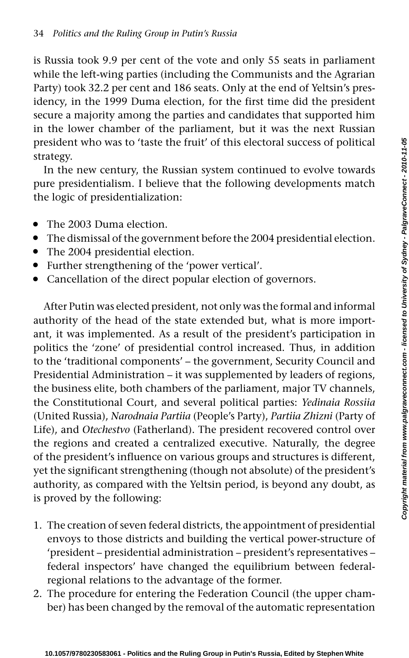is Russia took 9.9 per cent of the vote and only 55 seats in parliament while the left-wing parties (including the Communists and the Agrarian Party) took 32.2 per cent and 186 seats. Only at the end of Yeltsin's presidency, in the 1999 Duma election, for the first time did the president secure a majority among the parties and candidates that supported him in the lower chamber of the parliament, but it was the next Russian president who was to 'taste the fruit' of this electoral success of political strategy.

In the new century, the Russian system continued to evolve towards pure presidentialism. I believe that the following developments match the logic of presidentialization:

- The 2003 Duma election.
- The dismissal of the government before the 2004 presidential election.
- The 2004 presidential election.
- Further strengthening of the 'power vertical'.
- Cancellation of the direct popular election of governors.

After Putin was elected president, not only was the formal and informal authority of the head of the state extended but, what is more important, it was implemented. As a result of the president's participation in politics the 'zone' of presidential control increased. Thus, in addition to the 'traditional components' – the government, Security Council and Presidential Administration – it was supplemented by leaders of regions, the business elite, both chambers of the parliament, major TV channels, the Constitutional Court, and several political parties: *Yedinaia Rossiia* (United Russia), *Narodnaia Partiia* (People's Party), *Partiia Zhizni* (Party of Life), and *Otechestvo* (Fatherland). The president recovered control over the regions and created a centralized executive. Naturally, the degree of the president's influence on various groups and structures is different, yet the significant strengthening (though not absolute) of the president's authority, as compared with the Yeltsin period, is beyond any doubt, as is proved by the following:

- 1. The creation of seven federal districts, the appointment of presidential envoys to those districts and building the vertical power-structure of 'president – presidential administration – president's representatives – federal inspectors' have changed the equilibrium between federalregional relations to the advantage of the former.
- 2. The procedure for entering the Federation Council (the upper chamber) has been changed by the removal of the automatic representation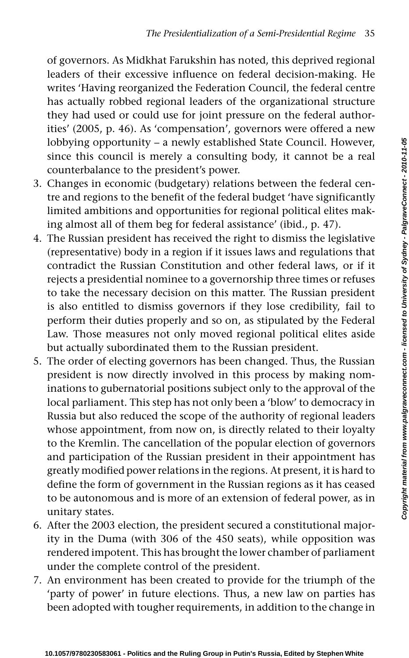of governors. As Midkhat Farukshin has noted, this deprived regional leaders of their excessive influence on federal decision-making. He writes 'Having reorganized the Federation Council, the federal centre has actually robbed regional leaders of the organizational structure they had used or could use for joint pressure on the federal authorities' (2005, p. 46). As 'compensation', governors were offered a new lobbying opportunity – a newly established State Council. However, since this council is merely a consulting body, it cannot be a real counterbalance to the president's power.

- 3. Changes in economic (budgetary) relations between the federal centre and regions to the benefit of the federal budget 'have significantly limited ambitions and opportunities for regional political elites making almost all of them beg for federal assistance' (ibid., p. 47).
- 4. The Russian president has received the right to dismiss the legislative (representative) body in a region if it issues laws and regulations that contradict the Russian Constitution and other federal laws, or if it rejects a presidential nominee to a governorship three times or refuses to take the necessary decision on this matter. The Russian president is also entitled to dismiss governors if they lose credibility, fail to perform their duties properly and so on, as stipulated by the Federal Law. Those measures not only moved regional political elites aside but actually subordinated them to the Russian president.
- 5. The order of electing governors has been changed. Thus, the Russian president is now directly involved in this process by making nominations to gubernatorial positions subject only to the approval of the local parliament. This step has not only been a 'blow' to democracy in Russia but also reduced the scope of the authority of regional leaders whose appointment, from now on, is directly related to their loyalty to the Kremlin. The cancellation of the popular election of governors and participation of the Russian president in their appointment has greatly modified power relations in the regions. At present, it is hard to define the form of government in the Russian regions as it has ceased to be autonomous and is more of an extension of federal power, as in unitary states.
- 6. After the 2003 election, the president secured a constitutional majority in the Duma (with 306 of the 450 seats), while opposition was rendered impotent. This has brought the lower chamber of parliament under the complete control of the president.
- 7. An environment has been created to provide for the triumph of the 'party of power' in future elections. Thus, a new law on parties has been adopted with tougher requirements, in addition to the change in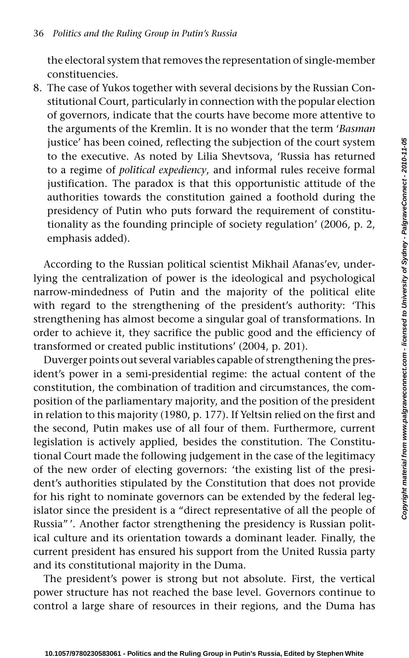the electoral system that removes the representation of single-member constituencies.

8. The case of Yukos together with several decisions by the Russian Constitutional Court, particularly in connection with the popular election of governors, indicate that the courts have become more attentive to the arguments of the Kremlin. It is no wonder that the term '*Basman* justice' has been coined, reflecting the subjection of the court system to the executive. As noted by Lilia Shevtsova, 'Russia has returned to a regime of *political expediency*, and informal rules receive formal justification. The paradox is that this opportunistic attitude of the authorities towards the constitution gained a foothold during the presidency of Putin who puts forward the requirement of constitutionality as the founding principle of society regulation' (2006, p. 2, emphasis added).

According to the Russian political scientist Mikhail Afanas'ev, underlying the centralization of power is the ideological and psychological narrow-mindedness of Putin and the majority of the political elite with regard to the strengthening of the president's authority: 'This strengthening has almost become a singular goal of transformations. In order to achieve it, they sacrifice the public good and the efficiency of transformed or created public institutions' (2004, p. 201).

Duverger points out several variables capable of strengthening the president's power in a semi-presidential regime: the actual content of the constitution, the combination of tradition and circumstances, the composition of the parliamentary majority, and the position of the president in relation to this majority (1980, p. 177). If Yeltsin relied on the first and the second, Putin makes use of all four of them. Furthermore, current legislation is actively applied, besides the constitution. The Constitutional Court made the following judgement in the case of the legitimacy of the new order of electing governors: 'the existing list of the president's authorities stipulated by the Constitution that does not provide for his right to nominate governors can be extended by the federal legislator since the president is a "direct representative of all the people of Russia" '. Another factor strengthening the presidency is Russian political culture and its orientation towards a dominant leader. Finally, the current president has ensured his support from the United Russia party and its constitutional majority in the Duma.

The president's power is strong but not absolute. First, the vertical power structure has not reached the base level. Governors continue to control a large share of resources in their regions, and the Duma has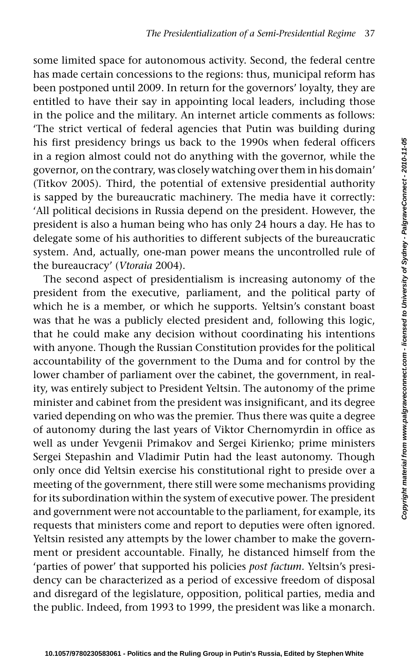some limited space for autonomous activity. Second, the federal centre has made certain concessions to the regions: thus, municipal reform has been postponed until 2009. In return for the governors' loyalty, they are entitled to have their say in appointing local leaders, including those in the police and the military. An internet article comments as follows: 'The strict vertical of federal agencies that Putin was building during his first presidency brings us back to the 1990s when federal officers in a region almost could not do anything with the governor, while the governor, on the contrary, was closely watching over them in his domain' (Titkov 2005). Third, the potential of extensive presidential authority is sapped by the bureaucratic machinery. The media have it correctly: 'All political decisions in Russia depend on the president. However, the president is also a human being who has only 24 hours a day. He has to delegate some of his authorities to different subjects of the bureaucratic system. And, actually, one-man power means the uncontrolled rule of the bureaucracy' (*Vtoraia* 2004).

The second aspect of presidentialism is increasing autonomy of the president from the executive, parliament, and the political party of which he is a member, or which he supports. Yeltsin's constant boast was that he was a publicly elected president and, following this logic, that he could make any decision without coordinating his intentions with anyone. Though the Russian Constitution provides for the political accountability of the government to the Duma and for control by the lower chamber of parliament over the cabinet, the government, in reality, was entirely subject to President Yeltsin. The autonomy of the prime minister and cabinet from the president was insignificant, and its degree varied depending on who was the premier. Thus there was quite a degree of autonomy during the last years of Viktor Chernomyrdin in office as well as under Yevgenii Primakov and Sergei Kirienko; prime ministers Sergei Stepashin and Vladimir Putin had the least autonomy. Though only once did Yeltsin exercise his constitutional right to preside over a meeting of the government, there still were some mechanisms providing for its subordination within the system of executive power. The president and government were not accountable to the parliament, for example, its requests that ministers come and report to deputies were often ignored. Yeltsin resisted any attempts by the lower chamber to make the government or president accountable. Finally, he distanced himself from the 'parties of power' that supported his policies *post factum*. Yeltsin's presidency can be characterized as a period of excessive freedom of disposal and disregard of the legislature, opposition, political parties, media and the public. Indeed, from 1993 to 1999, the president was like a monarch.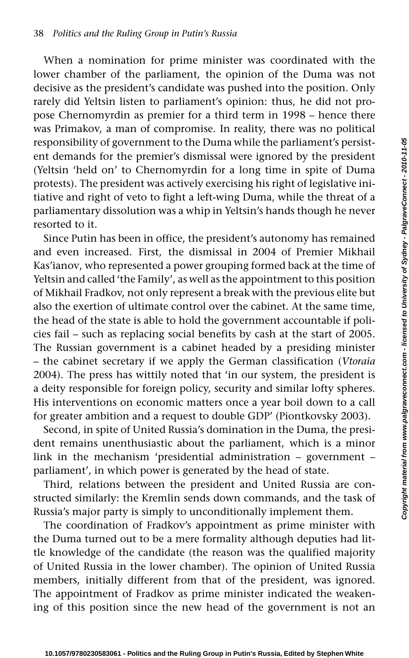When a nomination for prime minister was coordinated with the lower chamber of the parliament, the opinion of the Duma was not decisive as the president's candidate was pushed into the position. Only rarely did Yeltsin listen to parliament's opinion: thus, he did not propose Chernomyrdin as premier for a third term in 1998 – hence there was Primakov, a man of compromise. In reality, there was no political responsibility of government to the Duma while the parliament's persistent demands for the premier's dismissal were ignored by the president (Yeltsin 'held on' to Chernomyrdin for a long time in spite of Duma protests). The president was actively exercising his right of legislative initiative and right of veto to fight a left-wing Duma, while the threat of a parliamentary dissolution was a whip in Yeltsin's hands though he never resorted to it.

Since Putin has been in office, the president's autonomy has remained and even increased. First, the dismissal in 2004 of Premier Mikhail Kas'ianov, who represented a power grouping formed back at the time of Yeltsin and called 'the Family', as well as the appointment to this position of Mikhail Fradkov, not only represent a break with the previous elite but also the exertion of ultimate control over the cabinet. At the same time, the head of the state is able to hold the government accountable if policies fail – such as replacing social benefits by cash at the start of 2005. The Russian government is a cabinet headed by a presiding minister – the cabinet secretary if we apply the German classification (*Vtoraia* 2004). The press has wittily noted that 'in our system, the president is a deity responsible for foreign policy, security and similar lofty spheres. His interventions on economic matters once a year boil down to a call for greater ambition and a request to double GDP' (Piontkovsky 2003).

Second, in spite of United Russia's domination in the Duma, the president remains unenthusiastic about the parliament, which is a minor link in the mechanism 'presidential administration – government – parliament', in which power is generated by the head of state.

Third, relations between the president and United Russia are constructed similarly: the Kremlin sends down commands, and the task of Russia's major party is simply to unconditionally implement them.

The coordination of Fradkov's appointment as prime minister with the Duma turned out to be a mere formality although deputies had little knowledge of the candidate (the reason was the qualified majority of United Russia in the lower chamber). The opinion of United Russia members, initially different from that of the president, was ignored. The appointment of Fradkov as prime minister indicated the weakening of this position since the new head of the government is not an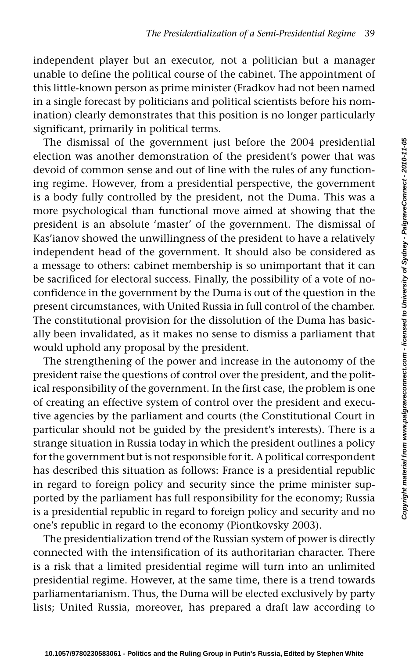independent player but an executor, not a politician but a manager unable to define the political course of the cabinet. The appointment of this little-known person as prime minister (Fradkov had not been named in a single forecast by politicians and political scientists before his nomination) clearly demonstrates that this position is no longer particularly significant, primarily in political terms.

The dismissal of the government just before the 2004 presidential election was another demonstration of the president's power that was devoid of common sense and out of line with the rules of any functioning regime. However, from a presidential perspective, the government is a body fully controlled by the president, not the Duma. This was a more psychological than functional move aimed at showing that the president is an absolute 'master' of the government. The dismissal of Kas'ianov showed the unwillingness of the president to have a relatively independent head of the government. It should also be considered as a message to others: cabinet membership is so unimportant that it can be sacrificed for electoral success. Finally, the possibility of a vote of noconfidence in the government by the Duma is out of the question in the present circumstances, with United Russia in full control of the chamber. The constitutional provision for the dissolution of the Duma has basically been invalidated, as it makes no sense to dismiss a parliament that would uphold any proposal by the president.

The strengthening of the power and increase in the autonomy of the president raise the questions of control over the president, and the political responsibility of the government. In the first case, the problem is one of creating an effective system of control over the president and executive agencies by the parliament and courts (the Constitutional Court in particular should not be guided by the president's interests). There is a strange situation in Russia today in which the president outlines a policy for the government but is not responsible for it. A political correspondent has described this situation as follows: France is a presidential republic in regard to foreign policy and security since the prime minister supported by the parliament has full responsibility for the economy; Russia is a presidential republic in regard to foreign policy and security and no one's republic in regard to the economy (Piontkovsky 2003).

The presidentialization trend of the Russian system of power is directly connected with the intensification of its authoritarian character. There is a risk that a limited presidential regime will turn into an unlimited presidential regime. However, at the same time, there is a trend towards parliamentarianism. Thus, the Duma will be elected exclusively by party lists; United Russia, moreover, has prepared a draft law according to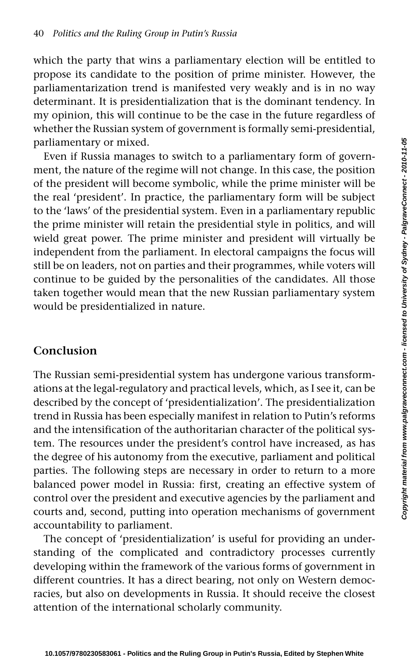which the party that wins a parliamentary election will be entitled to propose its candidate to the position of prime minister. However, the parliamentarization trend is manifested very weakly and is in no way determinant. It is presidentialization that is the dominant tendency. In my opinion, this will continue to be the case in the future regardless of whether the Russian system of government is formally semi-presidential, parliamentary or mixed.

Even if Russia manages to switch to a parliamentary form of government, the nature of the regime will not change. In this case, the position of the president will become symbolic, while the prime minister will be the real 'president'. In practice, the parliamentary form will be subject to the 'laws' of the presidential system. Even in a parliamentary republic the prime minister will retain the presidential style in politics, and will wield great power. The prime minister and president will virtually be independent from the parliament. In electoral campaigns the focus will still be on leaders, not on parties and their programmes, while voters will continue to be guided by the personalities of the candidates. All those taken together would mean that the new Russian parliamentary system would be presidentialized in nature.

## **Conclusion**

The Russian semi-presidential system has undergone various transformations at the legal-regulatory and practical levels, which, as I see it, can be described by the concept of 'presidentialization'. The presidentialization trend in Russia has been especially manifest in relation to Putin's reforms and the intensification of the authoritarian character of the political system. The resources under the president's control have increased, as has the degree of his autonomy from the executive, parliament and political parties. The following steps are necessary in order to return to a more balanced power model in Russia: first, creating an effective system of control over the president and executive agencies by the parliament and courts and, second, putting into operation mechanisms of government accountability to parliament.

The concept of 'presidentialization' is useful for providing an understanding of the complicated and contradictory processes currently developing within the framework of the various forms of government in different countries. It has a direct bearing, not only on Western democracies, but also on developments in Russia. It should receive the closest attention of the international scholarly community.